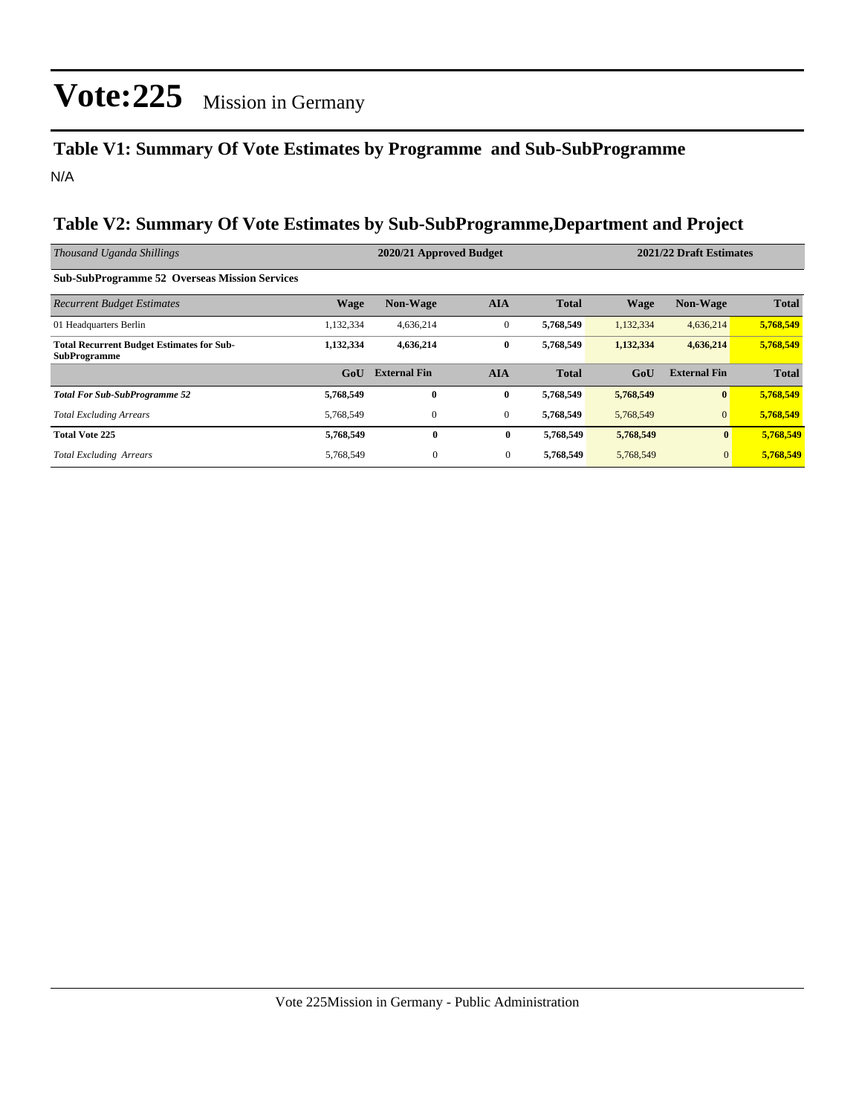### **Table V1: Summary Of Vote Estimates by Programme and Sub-SubProgramme** N/A

#### **Table V2: Summary Of Vote Estimates by Sub-SubProgramme,Department and Project**

| Thousand Uganda Shillings                                               |                  | 2020/21 Approved Budget |                |              |             | 2021/22 Draft Estimates |              |  |  |
|-------------------------------------------------------------------------|------------------|-------------------------|----------------|--------------|-------------|-------------------------|--------------|--|--|
| <b>Sub-SubProgramme 52 Overseas Mission Services</b>                    |                  |                         |                |              |             |                         |              |  |  |
| <b>Recurrent Budget Estimates</b>                                       | <b>Wage</b>      | <b>Non-Wage</b>         | <b>AIA</b>     | <b>Total</b> | <b>Wage</b> | <b>Non-Wage</b>         | <b>Total</b> |  |  |
| 01 Headquarters Berlin                                                  | 1,132,334        | 4,636,214               | $\mathbf{0}$   | 5,768,549    | 1,132,334   | 4,636,214               | 5,768,549    |  |  |
| <b>Total Recurrent Budget Estimates for Sub-</b><br><b>SubProgramme</b> | 1,132,334        | 4,636,214               | $\bf{0}$       | 5,768,549    | 1,132,334   | 4,636,214               | 5,768,549    |  |  |
|                                                                         | G <sub>o</sub> U | <b>External Fin</b>     | <b>AIA</b>     | <b>Total</b> | GoU         | <b>External Fin</b>     | <b>Total</b> |  |  |
| <b>Total For Sub-SubProgramme 52</b>                                    | 5,768,549        | $\mathbf{0}$            | $\bf{0}$       | 5,768,549    | 5,768,549   | $\mathbf{0}$            | 5,768,549    |  |  |
| <b>Total Excluding Arrears</b>                                          | 5.768.549        | $\mathbf{0}$            | $\overline{0}$ | 5,768,549    | 5,768,549   | $\overline{0}$          | 5,768,549    |  |  |
| <b>Total Vote 225</b>                                                   | 5,768,549        | $\bf{0}$                | $\bf{0}$       | 5,768,549    | 5,768,549   | $\bf{0}$                | 5,768,549    |  |  |
| <b>Total Excluding Arrears</b>                                          | 5,768,549        | $\mathbf{0}$            | $\mathbf{0}$   | 5,768,549    | 5,768,549   | $\mathbf{0}$            | 5,768,549    |  |  |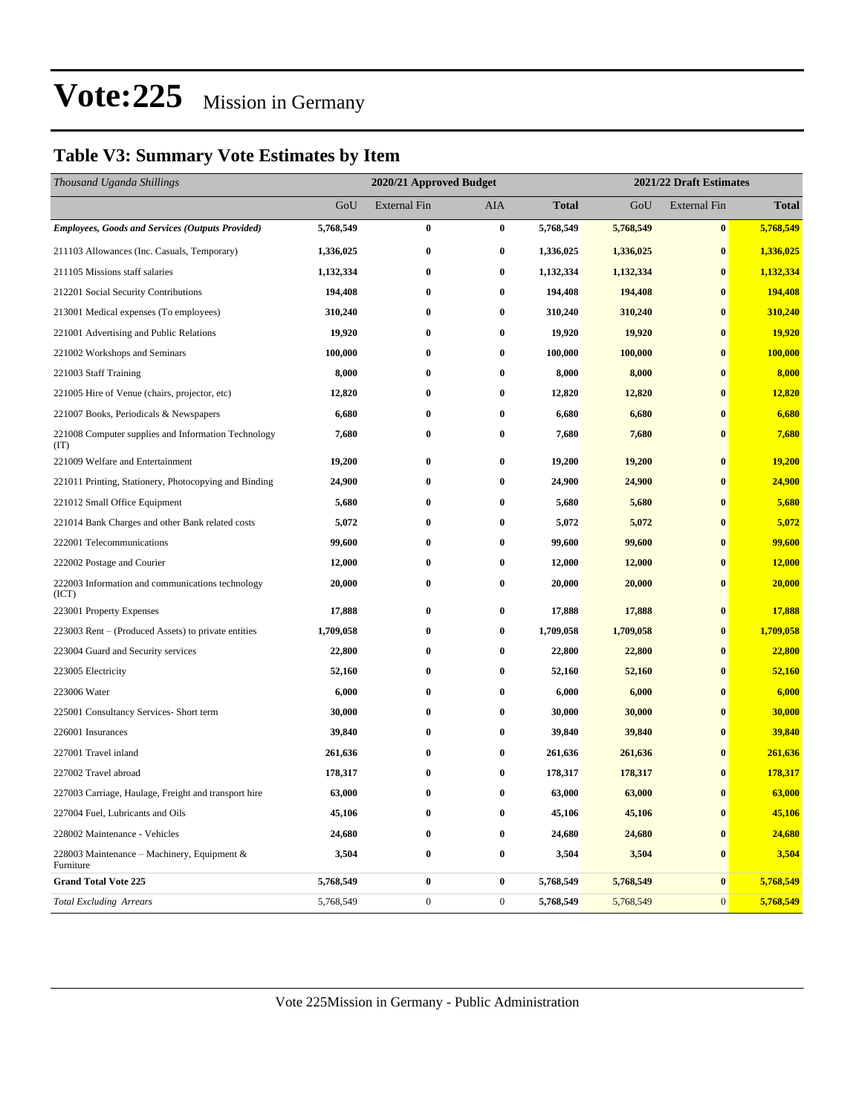### **Table V3: Summary Vote Estimates by Item**

| Thousand Uganda Shillings                                   | 2020/21 Approved Budget |                  |                  | 2021/22 Draft Estimates |           |                     |              |
|-------------------------------------------------------------|-------------------------|------------------|------------------|-------------------------|-----------|---------------------|--------------|
|                                                             | GoU                     | External Fin     | AIA              | <b>Total</b>            | GoU       | <b>External Fin</b> | <b>Total</b> |
| <b>Employees, Goods and Services (Outputs Provided)</b>     | 5,768,549               | $\bf{0}$         | $\bf{0}$         | 5,768,549               | 5,768,549 | $\bf{0}$            | 5,768,549    |
| 211103 Allowances (Inc. Casuals, Temporary)                 | 1,336,025               | $\bf{0}$         | $\bf{0}$         | 1,336,025               | 1,336,025 | $\bf{0}$            | 1,336,025    |
| 211105 Missions staff salaries                              | 1,132,334               | $\bf{0}$         | $\bf{0}$         | 1,132,334               | 1,132,334 | $\bf{0}$            | 1,132,334    |
| 212201 Social Security Contributions                        | 194,408                 | $\bf{0}$         | $\bf{0}$         | 194,408                 | 194,408   | $\bf{0}$            | 194,408      |
| 213001 Medical expenses (To employees)                      | 310,240                 | $\bf{0}$         | $\bf{0}$         | 310,240                 | 310,240   | $\bf{0}$            | 310,240      |
| 221001 Advertising and Public Relations                     | 19,920                  | $\bf{0}$         | $\bf{0}$         | 19,920                  | 19,920    | $\bf{0}$            | 19,920       |
| 221002 Workshops and Seminars                               | 100,000                 | $\bf{0}$         | 0                | 100,000                 | 100,000   | $\bf{0}$            | 100,000      |
| 221003 Staff Training                                       | 8,000                   | $\bf{0}$         | $\bf{0}$         | 8,000                   | 8,000     | $\bf{0}$            | 8,000        |
| 221005 Hire of Venue (chairs, projector, etc)               | 12,820                  | $\bf{0}$         | 0                | 12,820                  | 12,820    | $\bf{0}$            | 12,820       |
| 221007 Books, Periodicals & Newspapers                      | 6,680                   | $\bf{0}$         | $\bf{0}$         | 6,680                   | 6,680     | $\bf{0}$            | 6,680        |
| 221008 Computer supplies and Information Technology<br>(TT) | 7,680                   | $\bf{0}$         | 0                | 7,680                   | 7,680     | $\bf{0}$            | 7,680        |
| 221009 Welfare and Entertainment                            | 19,200                  | $\bf{0}$         | $\bf{0}$         | 19,200                  | 19,200    | $\bf{0}$            | 19,200       |
| 221011 Printing, Stationery, Photocopying and Binding       | 24,900                  | $\bf{0}$         | 0                | 24,900                  | 24,900    | $\bf{0}$            | 24,900       |
| 221012 Small Office Equipment                               | 5,680                   | $\bf{0}$         | $\bf{0}$         | 5,680                   | 5,680     | $\bf{0}$            | 5,680        |
| 221014 Bank Charges and other Bank related costs            | 5,072                   | $\bf{0}$         | 0                | 5,072                   | 5,072     | $\bf{0}$            | 5,072        |
| 222001 Telecommunications                                   | 99,600                  | $\bf{0}$         | $\bf{0}$         | 99,600                  | 99,600    | $\bf{0}$            | 99,600       |
| 222002 Postage and Courier                                  | 12,000                  | $\bf{0}$         | $\bf{0}$         | 12,000                  | 12,000    | $\bf{0}$            | 12,000       |
| 222003 Information and communications technology<br>(ICT)   | 20,000                  | $\bf{0}$         | 0                | 20,000                  | 20,000    | $\bf{0}$            | 20,000       |
| 223001 Property Expenses                                    | 17,888                  | $\bf{0}$         | $\bf{0}$         | 17,888                  | 17,888    | $\bf{0}$            | 17,888       |
| 223003 Rent – (Produced Assets) to private entities         | 1,709,058               | $\bf{0}$         | $\bf{0}$         | 1,709,058               | 1,709,058 | $\bf{0}$            | 1,709,058    |
| 223004 Guard and Security services                          | 22,800                  | $\bf{0}$         | $\bf{0}$         | 22,800                  | 22,800    | $\bf{0}$            | 22,800       |
| 223005 Electricity                                          | 52,160                  | $\bf{0}$         | $\bf{0}$         | 52,160                  | 52,160    | $\bf{0}$            | 52,160       |
| 223006 Water                                                | 6,000                   | $\bf{0}$         | $\bf{0}$         | 6,000                   | 6,000     | $\bf{0}$            | 6,000        |
| 225001 Consultancy Services- Short term                     | 30,000                  | $\bf{0}$         | $\bf{0}$         | 30,000                  | 30,000    | $\bf{0}$            | 30,000       |
| 226001 Insurances                                           | 39,840                  | $\bf{0}$         | $\bf{0}$         | 39,840                  | 39,840    | $\bf{0}$            | 39,840       |
| 227001 Travel inland                                        | 261,636                 | $\bf{0}$         | 0                | 261,636                 | 261,636   | $\bf{0}$            | 261,636      |
| 227002 Travel abroad                                        | 178,317                 | $\bf{0}$         | 0                | 178,317                 | 178,317   | $\bf{0}$            | 178,317      |
| 227003 Carriage, Haulage, Freight and transport hire        | 63,000                  | $\bf{0}$         | $\bf{0}$         | 63,000                  | 63,000    | $\bf{0}$            | 63,000       |
| 227004 Fuel, Lubricants and Oils                            | 45,106                  | $\bf{0}$         | $\bf{0}$         | 45,106                  | 45,106    | $\bf{0}$            | 45,106       |
| 228002 Maintenance - Vehicles                               | 24,680                  | $\bf{0}$         | 0                | 24,680                  | 24,680    | $\bf{0}$            | 24,680       |
| 228003 Maintenance – Machinery, Equipment &<br>Furniture    | 3,504                   | $\bf{0}$         | $\bf{0}$         | 3,504                   | 3,504     | $\bf{0}$            | 3,504        |
| <b>Grand Total Vote 225</b>                                 | 5,768,549               | $\bf{0}$         | $\bf{0}$         | 5,768,549               | 5,768,549 | $\bf{0}$            | 5,768,549    |
| <b>Total Excluding Arrears</b>                              | 5,768,549               | $\boldsymbol{0}$ | $\boldsymbol{0}$ | 5,768,549               | 5,768,549 | $\mathbf{0}$        | 5,768,549    |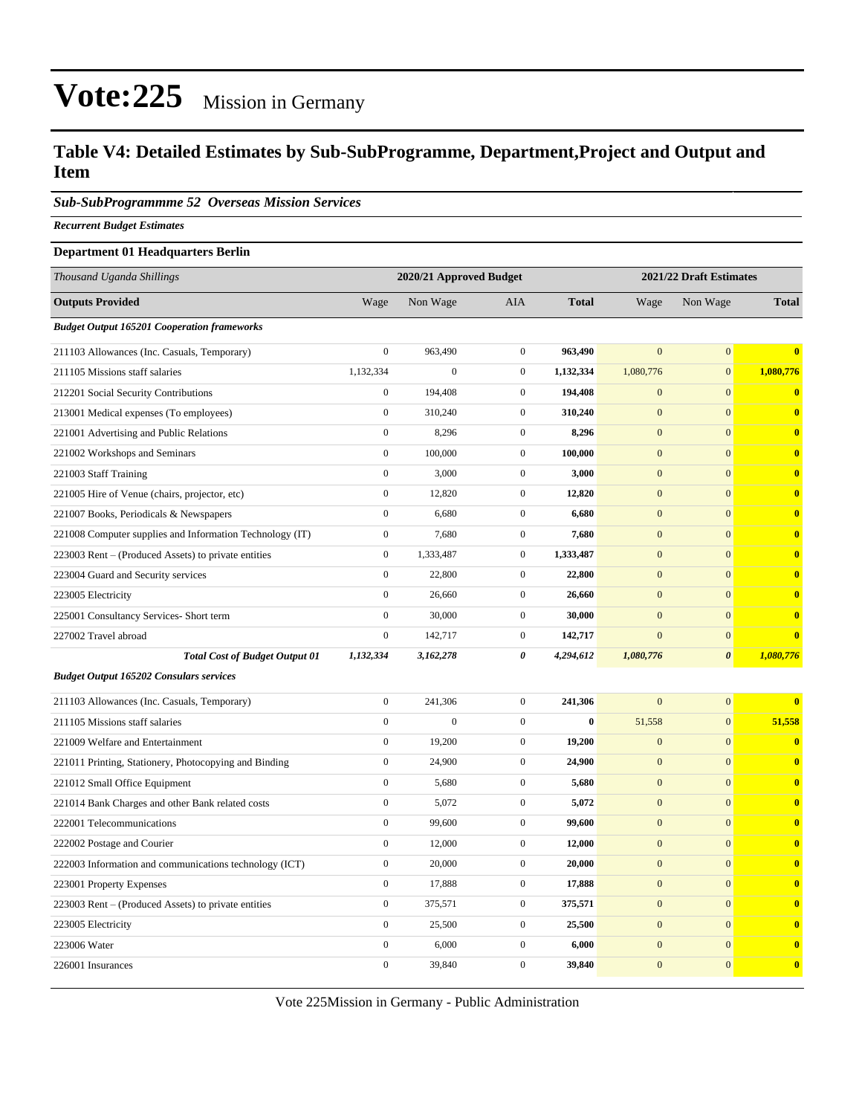#### **Table V4: Detailed Estimates by Sub-SubProgramme, Department,Project and Output and Item**

*Sub-SubProgrammme 52 Overseas Mission Services*

*Recurrent Budget Estimates*

#### **Department 01 Headquarters Berlin**

| Thousand Uganda Shillings                                | 2020/21 Approved Budget |                  |                  |              |                  | 2021/22 Draft Estimates |                         |  |
|----------------------------------------------------------|-------------------------|------------------|------------------|--------------|------------------|-------------------------|-------------------------|--|
| <b>Outputs Provided</b>                                  | Wage                    | Non Wage         | AIA              | <b>Total</b> | Wage             | Non Wage                | <b>Total</b>            |  |
| <b>Budget Output 165201 Cooperation frameworks</b>       |                         |                  |                  |              |                  |                         |                         |  |
| 211103 Allowances (Inc. Casuals, Temporary)              | $\boldsymbol{0}$        | 963,490          | $\mathbf{0}$     | 963,490      | $\mathbf{0}$     | $\boldsymbol{0}$        | $\overline{\mathbf{0}}$ |  |
| 211105 Missions staff salaries                           | 1,132,334               | $\boldsymbol{0}$ | $\mathbf{0}$     | 1,132,334    | 1,080,776        | $\boldsymbol{0}$        | 1,080,776               |  |
| 212201 Social Security Contributions                     | $\boldsymbol{0}$        | 194,408          | $\mathbf{0}$     | 194,408      | $\mathbf{0}$     | $\boldsymbol{0}$        | $\bf{0}$                |  |
| 213001 Medical expenses (To employees)                   | $\mathbf{0}$            | 310,240          | $\mathbf{0}$     | 310,240      | $\mathbf{0}$     | $\mathbf{0}$            | $\mathbf{0}$            |  |
| 221001 Advertising and Public Relations                  | $\boldsymbol{0}$        | 8,296            | $\mathbf{0}$     | 8,296        | $\mathbf{0}$     | $\mathbf{0}$            | $\bf{0}$                |  |
| 221002 Workshops and Seminars                            | $\mathbf{0}$            | 100,000          | $\mathbf{0}$     | 100,000      | $\overline{0}$   | $\overline{0}$          | $\mathbf{0}$            |  |
| 221003 Staff Training                                    | $\boldsymbol{0}$        | 3,000            | $\boldsymbol{0}$ | 3,000        | $\mathbf{0}$     | $\mathbf{0}$            | $\bf{0}$                |  |
| 221005 Hire of Venue (chairs, projector, etc)            | $\boldsymbol{0}$        | 12,820           | $\mathbf{0}$     | 12,820       | $\mathbf{0}$     | $\mathbf{0}$            | $\overline{\mathbf{0}}$ |  |
| 221007 Books, Periodicals & Newspapers                   | $\boldsymbol{0}$        | 6,680            | $\boldsymbol{0}$ | 6,680        | $\boldsymbol{0}$ | $\boldsymbol{0}$        | $\bf{0}$                |  |
| 221008 Computer supplies and Information Technology (IT) | $\boldsymbol{0}$        | 7,680            | $\mathbf{0}$     | 7,680        | $\mathbf{0}$     | $\mathbf{0}$            | $\bf{0}$                |  |
| 223003 Rent – (Produced Assets) to private entities      | $\boldsymbol{0}$        | 1,333,487        | $\mathbf{0}$     | 1,333,487    | $\mathbf{0}$     | $\mathbf{0}$            | $\bf{0}$                |  |
| 223004 Guard and Security services                       | $\boldsymbol{0}$        | 22,800           | $\mathbf{0}$     | 22,800       | $\mathbf{0}$     | $\overline{0}$          | $\bf{0}$                |  |
| 223005 Electricity                                       | $\boldsymbol{0}$        | 26,660           | $\boldsymbol{0}$ | 26,660       | $\mathbf{0}$     | $\mathbf{0}$            | $\bf{0}$                |  |
| 225001 Consultancy Services- Short term                  | $\boldsymbol{0}$        | 30,000           | $\mathbf{0}$     | 30,000       | $\mathbf{0}$     | $\mathbf{0}$            | $\overline{\mathbf{0}}$ |  |
| 227002 Travel abroad                                     | $\boldsymbol{0}$        | 142,717          | $\boldsymbol{0}$ | 142,717      | $\mathbf{0}$     | $\mathbf{0}$            | $\bf{0}$                |  |
| <b>Total Cost of Budget Output 01</b>                    | 1,132,334               | 3,162,278        | 0                | 4,294,612    | 1,080,776        | $\boldsymbol{\theta}$   | 1,080,776               |  |
| <b>Budget Output 165202 Consulars services</b>           |                         |                  |                  |              |                  |                         |                         |  |
| 211103 Allowances (Inc. Casuals, Temporary)              | $\boldsymbol{0}$        | 241,306          | $\mathbf{0}$     | 241,306      | $\overline{0}$   | $\mathbf{0}$            | $\bf{0}$                |  |
| 211105 Missions staff salaries                           | $\boldsymbol{0}$        | $\boldsymbol{0}$ | $\mathbf{0}$     | $\bf{0}$     | 51,558           | $\boldsymbol{0}$        | 51,558                  |  |
| 221009 Welfare and Entertainment                         | $\boldsymbol{0}$        | 19,200           | $\mathbf{0}$     | 19,200       | $\mathbf{0}$     | $\mathbf{0}$            | $\mathbf{0}$            |  |
| 221011 Printing, Stationery, Photocopying and Binding    | $\boldsymbol{0}$        | 24,900           | $\boldsymbol{0}$ | 24,900       | $\boldsymbol{0}$ | $\mathbf{0}$            | $\mathbf{0}$            |  |
| 221012 Small Office Equipment                            | $\boldsymbol{0}$        | 5,680            | $\mathbf{0}$     | 5,680        | $\mathbf{0}$     | $\mathbf{0}$            | $\bf{0}$                |  |
| 221014 Bank Charges and other Bank related costs         | $\boldsymbol{0}$        | 5,072            | $\boldsymbol{0}$ | 5,072        | $\boldsymbol{0}$ | $\mathbf{0}$            | $\mathbf{0}$            |  |
| 222001 Telecommunications                                | $\boldsymbol{0}$        | 99,600           | $\mathbf{0}$     | 99,600       | $\mathbf{0}$     | $\mathbf{0}$            | $\overline{0}$          |  |
| 222002 Postage and Courier                               | $\boldsymbol{0}$        | 12,000           | $\boldsymbol{0}$ | 12,000       | $\mathbf{0}$     | $\mathbf{0}$            | $\bf{0}$                |  |
| 222003 Information and communications technology (ICT)   | $\boldsymbol{0}$        | 20,000           | $\boldsymbol{0}$ | 20,000       | $\mathbf{0}$     | $\mathbf{0}$            | $\bf{0}$                |  |
| 223001 Property Expenses                                 | $\boldsymbol{0}$        | 17,888           | $\boldsymbol{0}$ | 17,888       | $\mathbf{0}$     | $\mathbf{0}$            | $\bf{0}$                |  |
| 223003 Rent – (Produced Assets) to private entities      | $\boldsymbol{0}$        | 375,571          | $\mathbf{0}$     | 375,571      | $\mathbf{0}$     | $\mathbf{0}$            | $\overline{0}$          |  |
| 223005 Electricity                                       | $\boldsymbol{0}$        | 25,500           | $\mathbf{0}$     | 25,500       | $\mathbf{0}$     | $\mathbf{0}$            | $\mathbf{0}$            |  |
| 223006 Water                                             | $\boldsymbol{0}$        | 6,000            | $\boldsymbol{0}$ | 6,000        | $\mathbf{0}$     | $\mathbf{0}$            | $\mathbf{0}$            |  |
| 226001 Insurances                                        | $\boldsymbol{0}$        | 39,840           | $\mathbf{0}$     | 39,840       | $\boldsymbol{0}$ | $\mathbf{0}$            | $\mathbf{0}$            |  |

Vote 225Mission in Germany - Public Administration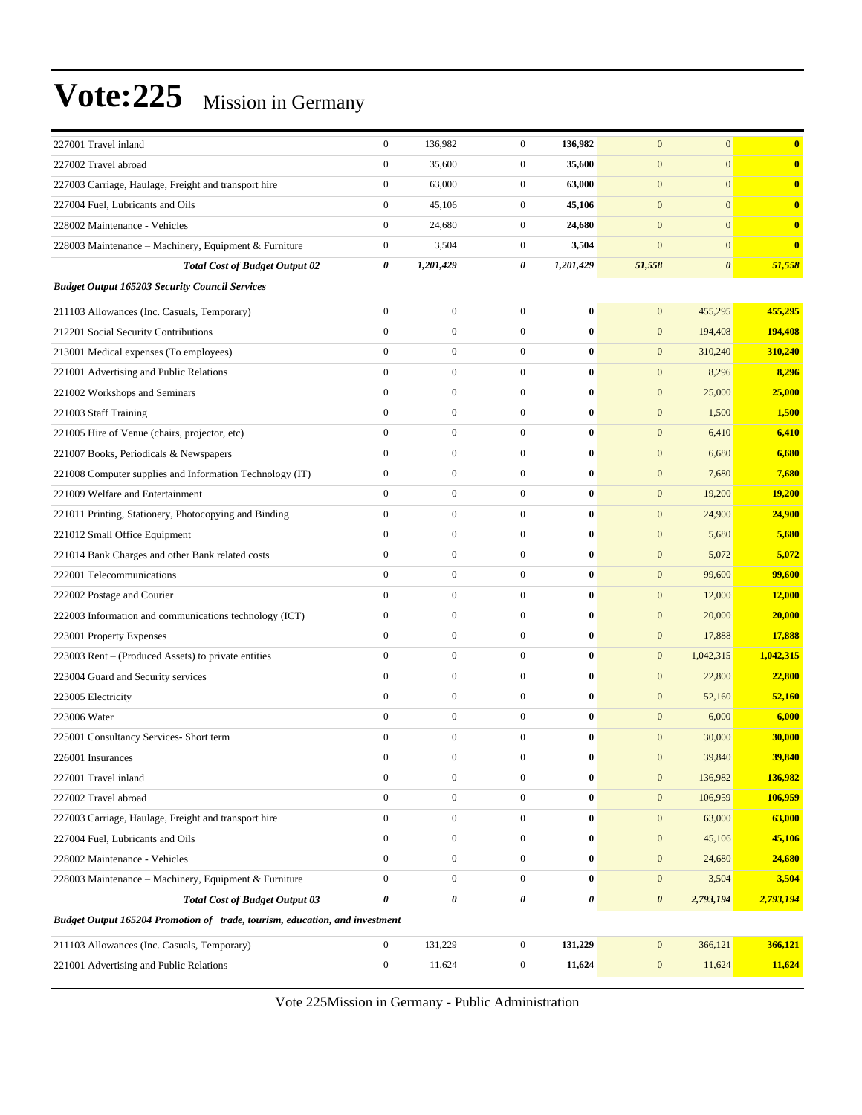|                                                                             | $\boldsymbol{0}$ |                   | $\boldsymbol{0}$ | 136,982          | $\mathbf{0}$          | $\mathbf{0}$          | $\bf{0}$      |
|-----------------------------------------------------------------------------|------------------|-------------------|------------------|------------------|-----------------------|-----------------------|---------------|
| 227001 Travel inland<br>227002 Travel abroad                                | $\mathbf{0}$     | 136,982<br>35,600 | $\boldsymbol{0}$ | 35,600           | $\mathbf{0}$          | $\mathbf{0}$          | $\bf{0}$      |
| 227003 Carriage, Haulage, Freight and transport hire                        | $\boldsymbol{0}$ | 63,000            | $\boldsymbol{0}$ | 63,000           | $\mathbf{0}$          | $\mathbf{0}$          | $\bf{0}$      |
|                                                                             | $\boldsymbol{0}$ | 45,106            | $\boldsymbol{0}$ | 45,106           | $\mathbf{0}$          | $\mathbf{0}$          | $\bf{0}$      |
| 227004 Fuel, Lubricants and Oils                                            |                  |                   |                  |                  |                       |                       |               |
| 228002 Maintenance - Vehicles                                               | $\boldsymbol{0}$ | 24,680            | $\boldsymbol{0}$ | 24,680           | $\mathbf{0}$          | $\mathbf{0}$          | $\bf{0}$      |
| 228003 Maintenance - Machinery, Equipment & Furniture                       | $\boldsymbol{0}$ | 3,504             | $\boldsymbol{0}$ | 3,504            | $\mathbf{0}$          | $\mathbf{0}$          | $\bf{0}$      |
| <b>Total Cost of Budget Output 02</b>                                       | 0                | 1,201,429         | 0                | 1,201,429        | 51,558                | $\boldsymbol{\theta}$ | 51,558        |
| <b>Budget Output 165203 Security Council Services</b>                       |                  |                   |                  |                  |                       |                       |               |
| 211103 Allowances (Inc. Casuals, Temporary)                                 | $\boldsymbol{0}$ | $\boldsymbol{0}$  | $\boldsymbol{0}$ | $\bf{0}$         | $\mathbf{0}$          | 455,295               | 455,295       |
| 212201 Social Security Contributions                                        | $\overline{0}$   | $\mathbf{0}$      | $\boldsymbol{0}$ | $\bf{0}$         | $\mathbf{0}$          | 194,408               | 194,408       |
| 213001 Medical expenses (To employees)                                      | $\boldsymbol{0}$ | $\boldsymbol{0}$  | $\boldsymbol{0}$ | $\bf{0}$         | $\mathbf{0}$          | 310,240               | 310,240       |
| 221001 Advertising and Public Relations                                     | $\boldsymbol{0}$ | $\boldsymbol{0}$  | $\boldsymbol{0}$ | $\bf{0}$         | $\mathbf{0}$          | 8,296                 | 8,296         |
| 221002 Workshops and Seminars                                               | $\mathbf{0}$     | $\boldsymbol{0}$  | $\boldsymbol{0}$ | $\bf{0}$         | $\mathbf{0}$          | 25,000                | 25,000        |
| 221003 Staff Training                                                       | $\mathbf{0}$     | $\boldsymbol{0}$  | $\boldsymbol{0}$ | $\bf{0}$         | $\mathbf{0}$          | 1,500                 | 1,500         |
| 221005 Hire of Venue (chairs, projector, etc)                               | $\overline{0}$   | $\boldsymbol{0}$  | $\boldsymbol{0}$ | $\bf{0}$         | $\mathbf{0}$          | 6,410                 | 6,410         |
| 221007 Books, Periodicals & Newspapers                                      | $\boldsymbol{0}$ | $\boldsymbol{0}$  | $\boldsymbol{0}$ | $\bf{0}$         | $\mathbf{0}$          | 6,680                 | 6,680         |
| 221008 Computer supplies and Information Technology (IT)                    | $\boldsymbol{0}$ | $\boldsymbol{0}$  | $\boldsymbol{0}$ | $\bf{0}$         | $\mathbf{0}$          | 7,680                 | 7,680         |
| 221009 Welfare and Entertainment                                            | $\mathbf{0}$     | $\boldsymbol{0}$  | $\boldsymbol{0}$ | $\bf{0}$         | $\mathbf{0}$          | 19,200                | 19,200        |
| 221011 Printing, Stationery, Photocopying and Binding                       | $\mathbf{0}$     | $\boldsymbol{0}$  | $\boldsymbol{0}$ | $\bf{0}$         | $\mathbf{0}$          | 24,900                | 24,900        |
| 221012 Small Office Equipment                                               | $\overline{0}$   | $\boldsymbol{0}$  | $\boldsymbol{0}$ | $\bf{0}$         | $\mathbf{0}$          | 5,680                 | 5,680         |
| 221014 Bank Charges and other Bank related costs                            | $\boldsymbol{0}$ | $\boldsymbol{0}$  | $\boldsymbol{0}$ | $\bf{0}$         | $\mathbf{0}$          | 5,072                 | 5,072         |
| 222001 Telecommunications                                                   | $\boldsymbol{0}$ | $\boldsymbol{0}$  | $\boldsymbol{0}$ | $\bf{0}$         | $\mathbf{0}$          | 99,600                | 99,600        |
| 222002 Postage and Courier                                                  | $\mathbf{0}$     | $\boldsymbol{0}$  | $\boldsymbol{0}$ | $\bf{0}$         | $\mathbf{0}$          | 12,000                | <b>12,000</b> |
| 222003 Information and communications technology (ICT)                      | $\boldsymbol{0}$ | $\boldsymbol{0}$  | $\boldsymbol{0}$ | $\bf{0}$         | $\mathbf{0}$          | 20,000                | 20,000        |
| 223001 Property Expenses                                                    | $\overline{0}$   | $\boldsymbol{0}$  | $\boldsymbol{0}$ | $\bf{0}$         | $\mathbf{0}$          | 17,888                | 17,888        |
| 223003 Rent – (Produced Assets) to private entities                         | $\boldsymbol{0}$ | $\boldsymbol{0}$  | $\boldsymbol{0}$ | $\bf{0}$         | $\mathbf{0}$          | 1,042,315             | 1,042,315     |
| 223004 Guard and Security services                                          | $\boldsymbol{0}$ | $\boldsymbol{0}$  | $\boldsymbol{0}$ | $\bf{0}$         | $\mathbf{0}$          | 22,800                | 22,800        |
| 223005 Electricity                                                          | $\mathbf{0}$     | $\boldsymbol{0}$  | $\boldsymbol{0}$ | $\bf{0}$         | $\mathbf{0}$          | 52,160                | 52,160        |
| 223006 Water                                                                | $\mathbf{0}$     | $\boldsymbol{0}$  | $\boldsymbol{0}$ | $\bf{0}$         | $\mathbf{0}$          | 6,000                 | 6,000         |
| 225001 Consultancy Services- Short term                                     | $\overline{0}$   | $\mathbf{0}$      | $\boldsymbol{0}$ | $\bf{0}$         | $\mathbf{0}$          | 30,000                | 30,000        |
| 226001 Insurances                                                           | $\Omega$         | $\mathbf{0}$      | $\Omega$         | $\mathbf{0}$     | $\mathbf{0}$          | 39,840                | 39,840        |
| 227001 Travel inland                                                        | $\boldsymbol{0}$ | $\boldsymbol{0}$  | $\boldsymbol{0}$ | $\bf{0}$         | $\boldsymbol{0}$      | 136,982               | 136,982       |
| 227002 Travel abroad                                                        | $\mathbf{0}$     | $\boldsymbol{0}$  | $\boldsymbol{0}$ | $\boldsymbol{0}$ | $\mathbf{0}$          | 106,959               | 106,959       |
| 227003 Carriage, Haulage, Freight and transport hire                        | $\mathbf{0}$     | $\boldsymbol{0}$  | $\overline{0}$   | $\bf{0}$         | $\mathbf{0}$          | 63,000                | 63,000        |
| 227004 Fuel, Lubricants and Oils                                            | $\mathbf{0}$     | $\boldsymbol{0}$  | $\boldsymbol{0}$ | $\bf{0}$         | $\mathbf{0}$          | 45,106                | 45,106        |
| 228002 Maintenance - Vehicles                                               | $\mathbf{0}$     | $\boldsymbol{0}$  | $\boldsymbol{0}$ | $\bf{0}$         | $\mathbf{0}$          | 24,680                | 24,680        |
| 228003 Maintenance - Machinery, Equipment & Furniture                       | $\mathbf{0}$     | $\boldsymbol{0}$  | $\boldsymbol{0}$ | $\bf{0}$         | $\mathbf{0}$          | 3,504                 | 3,504         |
| <b>Total Cost of Budget Output 03</b>                                       | $\pmb{\theta}$   | 0                 | 0                | $\pmb{\theta}$   | $\boldsymbol{\theta}$ | 2,793,194             | 2,793,194     |
| Budget Output 165204 Promotion of trade, tourism, education, and investment |                  |                   |                  |                  |                       |                       |               |
|                                                                             | $\boldsymbol{0}$ |                   | $\boldsymbol{0}$ | 131,229          | $\boldsymbol{0}$      |                       | 366,121       |
| 211103 Allowances (Inc. Casuals, Temporary)                                 | $\mathbf{0}$     | 131,229<br>11,624 |                  | 11,624           |                       | 366,121<br>11,624     |               |
| 221001 Advertising and Public Relations                                     |                  |                   | $\boldsymbol{0}$ |                  | $\mathbf{0}$          |                       | 11,624        |

Vote 225Mission in Germany - Public Administration